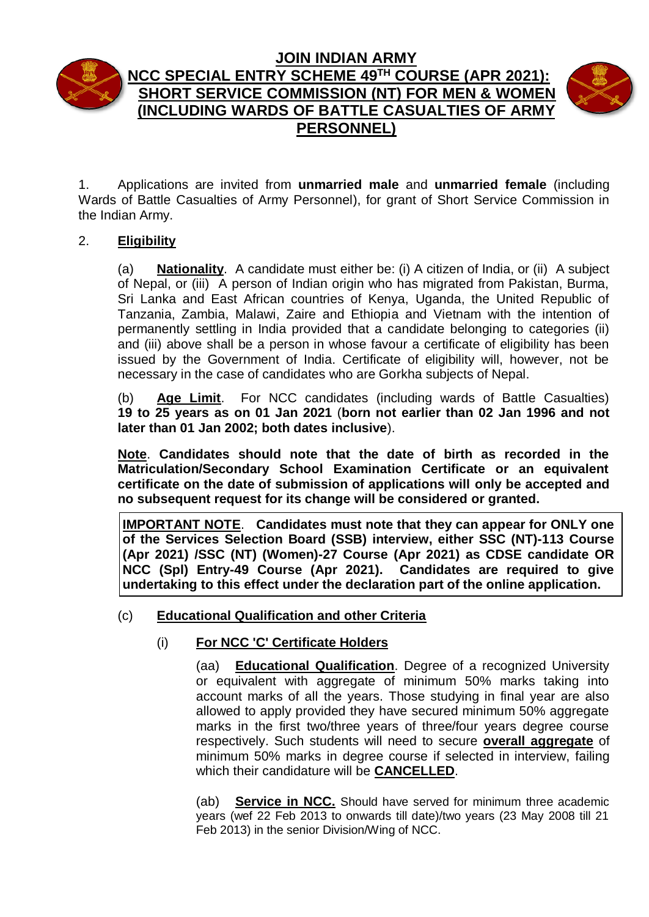

# **JOIN INDIAN ARMY NCC SPECIAL ENTRY SCHEME 49 TH COURSE (APR 2021): SHORT SERVICE COMMISSION (NT) FOR MEN & WOMEN (INCLUDING WARDS OF BATTLE CASUALTIES OF ARMY PERSONNEL)**



1. Applications are invited from **unmarried male** and **unmarried female** (including Wards of Battle Casualties of Army Personnel), for grant of Short Service Commission in the Indian Army.

### 2. **Eligibility**

(a) **Nationality**. A candidate must either be: (i) A citizen of India, or (ii) A subject of Nepal, or (iii) A person of Indian origin who has migrated from Pakistan, Burma, Sri Lanka and East African countries of Kenya, Uganda, the United Republic of Tanzania, Zambia, Malawi, Zaire and Ethiopia and Vietnam with the intention of permanently settling in India provided that a candidate belonging to categories (ii) and (iii) above shall be a person in whose favour a certificate of eligibility has been issued by the Government of India. Certificate of eligibility will, however, not be necessary in the case of candidates who are Gorkha subjects of Nepal.

(b) **Age Limit**.For NCC candidates (including wards of Battle Casualties) **19 to 25 years as on 01 Jan 2021** (**born not earlier than 02 Jan 1996 and not later than 01 Jan 2002; both dates inclusive**).

**Note**. **Candidates should note that the date of birth as recorded in the Matriculation/Secondary School Examination Certificate or an equivalent certificate on the date of submission of applications will only be accepted and no subsequent request for its change will be considered or granted.**

**IMPORTANT NOTE**. **Candidates must note that they can appear for ONLY one of the Services Selection Board (SSB) interview, either SSC (NT)-113 Course (Apr 2021) /SSC (NT) (Women)-27 Course (Apr 2021) as CDSE candidate OR NCC (Spl) Entry-49 Course (Apr 2021). Candidates are required to give undertaking to this effect under the declaration part of the online application.**

### (c) **Educational Qualification and other Criteria**

## (i) **For NCC 'C' Certificate Holders**

(aa) **Educational Qualification**. Degree of a recognized University or equivalent with aggregate of minimum 50% marks taking into account marks of all the years. Those studying in final year are also allowed to apply provided they have secured minimum 50% aggregate marks in the first two/three years of three/four years degree course respectively. Such students will need to secure **overall aggregate** of minimum 50% marks in degree course if selected in interview, failing which their candidature will be **CANCELLED**.

(ab) **Service in NCC.** Should have served for minimum three academic years (wef 22 Feb 2013 to onwards till date)/two years (23 May 2008 till 21 Feb 2013) in the senior Division/Wing of NCC.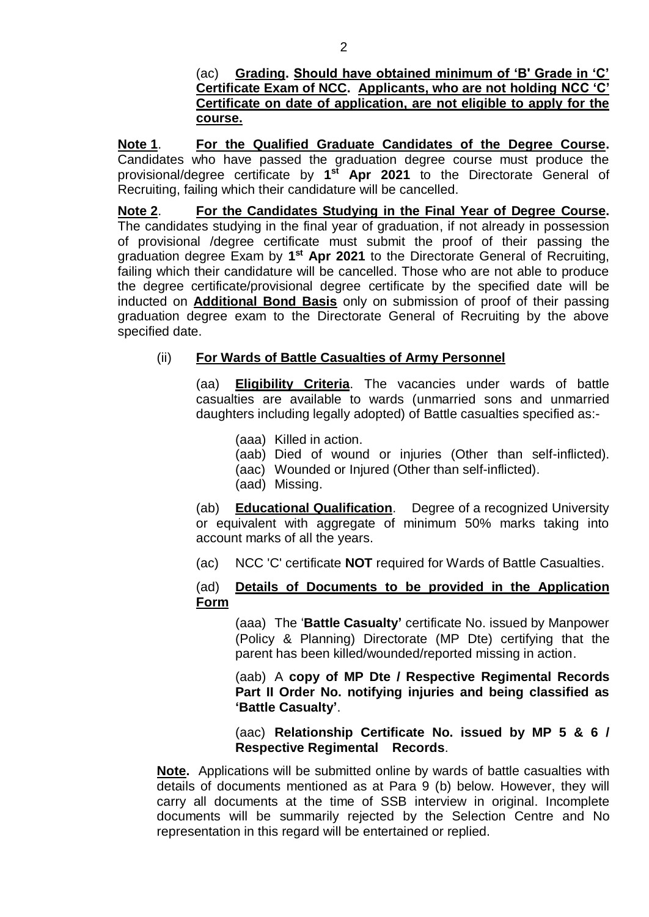(ac) **Grading. Should have obtained minimum of 'B' Grade in 'C' Certificate Exam of NCC. Applicants, who are not holding NCC 'C' Certificate on date of application, are not eligible to apply for the course.**

**Note 1**. **For the Qualified Graduate Candidates of the Degree Course.** Candidates who have passed the graduation degree course must produce the provisional/degree certificate by **1 st Apr 2021** to the Directorate General of Recruiting, failing which their candidature will be cancelled.

**Note 2**. **For the Candidates Studying in the Final Year of Degree Course.** The candidates studying in the final year of graduation, if not already in possession of provisional /degree certificate must submit the proof of their passing the graduation degree Exam by 1<sup>st</sup> Apr 2021 to the Directorate General of Recruiting, failing which their candidature will be cancelled. Those who are not able to produce the degree certificate/provisional degree certificate by the specified date will be inducted on **Additional Bond Basis** only on submission of proof of their passing graduation degree exam to the Directorate General of Recruiting by the above specified date.

### (ii) **For Wards of Battle Casualties of Army Personnel**

(aa) **Eligibility Criteria**. The vacancies under wards of battle casualties are available to wards (unmarried sons and unmarried daughters including legally adopted) of Battle casualties specified as:-

- (aaa) Killed in action.
- (aab) Died of wound or injuries (Other than self-inflicted).
- (aac) Wounded or Injured (Other than self-inflicted).
- (aad) Missing.

(ab) **Educational Qualification**. Degree of a recognized University or equivalent with aggregate of minimum 50% marks taking into account marks of all the years.

(ac) NCC 'C' certificate **NOT** required for Wards of Battle Casualties.

### (ad) **Details of Documents to be provided in the Application Form**

(aaa) The '**Battle Casualty'** certificate No. issued by Manpower (Policy & Planning) Directorate (MP Dte) certifying that the parent has been killed/wounded/reported missing in action.

(aab) A **copy of MP Dte / Respective Regimental Records Part II Order No. notifying injuries and being classified as 'Battle Casualty'**.

(aac) **Relationship Certificate No. issued by MP 5 & 6 / Respective Regimental Records**.

**Note.** Applications will be submitted online by wards of battle casualties with details of documents mentioned as at Para 9 (b) below. However, they will carry all documents at the time of SSB interview in original. Incomplete documents will be summarily rejected by the Selection Centre and No representation in this regard will be entertained or replied.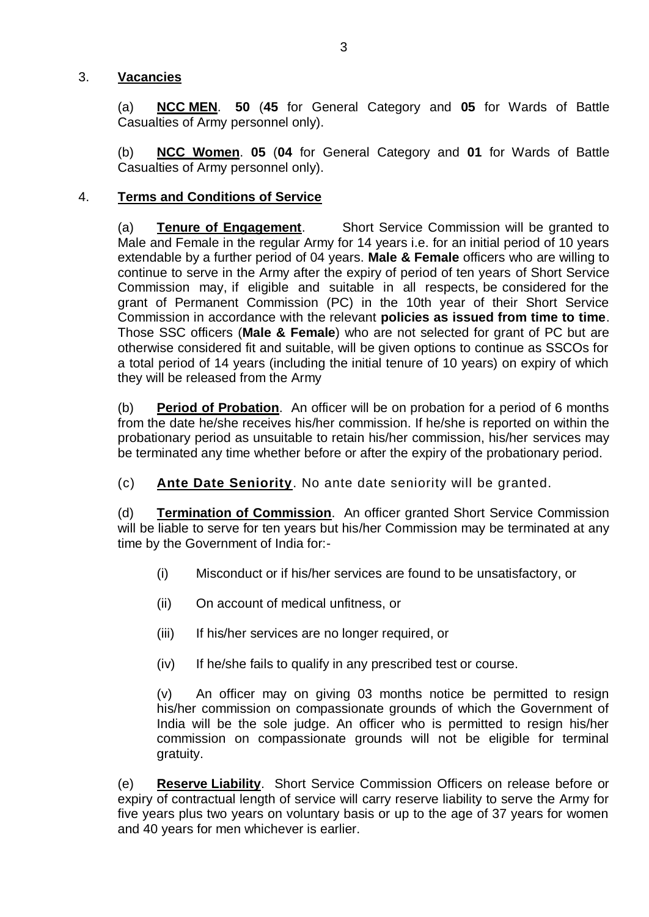### 3. **Vacancies**

(a) **NCC MEN**. **50** (**45** for General Category and **05** for Wards of Battle Casualties of Army personnel only).

(b) **NCC Women**. **05** (**04** for General Category and **01** for Wards of Battle Casualties of Army personnel only).

### 4. **Terms and Conditions of Service**

(a) **Tenure of Engagement**. Short Service Commission will be granted to Male and Female in the regular Army for 14 years i.e. for an initial period of 10 years extendable by a further period of 04 years. **Male & Female** officers who are willing to continue to serve in the Army after the expiry of period of ten years of Short Service Commission may, if eligible and suitable in all respects, be considered for the grant of Permanent Commission (PC) in the 10th year of their Short Service Commission in accordance with the relevant **policies as issued from time to time**. Those SSC officers (**Male & Female**) who are not selected for grant of PC but are otherwise considered fit and suitable, will be given options to continue as SSCOs for a total period of 14 years (including the initial tenure of 10 years) on expiry of which they will be released from the Army

(b) **Period of Probation**.An officer will be on probation for a period of 6 months from the date he/she receives his/her commission. If he/she is reported on within the probationary period as unsuitable to retain his/her commission, his/her services may be terminated any time whether before or after the expiry of the probationary period.

(c) **Ante Date Seniority**. No ante date seniority will be granted.

(d) **Termination of Commission**.An officer granted Short Service Commission will be liable to serve for ten years but his/her Commission may be terminated at any time by the Government of India for:-

- (i) Misconduct or if his/her services are found to be unsatisfactory, or
- (ii) On account of medical unfitness, or
- (iii) If his/her services are no longer required, or
- (iv) If he/she fails to qualify in any prescribed test or course.

(v) An officer may on giving 03 months notice be permitted to resign his/her commission on compassionate grounds of which the Government of India will be the sole judge. An officer who is permitted to resign his/her commission on compassionate grounds will not be eligible for terminal gratuity.

(e) **Reserve Liability**.Short Service Commission Officers on release before or expiry of contractual length of service will carry reserve liability to serve the Army for five years plus two years on voluntary basis or up to the age of 37 years for women and 40 years for men whichever is earlier.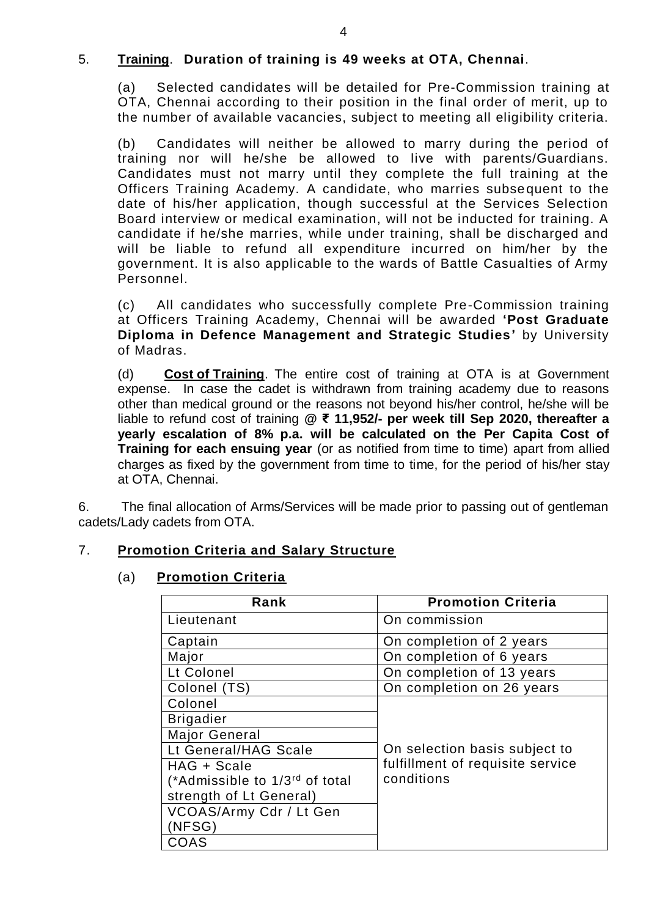### 5. **Training**. **Duration of training is 49 weeks at OTA, Chennai**.

(a) Selected candidates will be detailed for Pre-Commission training at OTA, Chennai according to their position in the final order of merit, up to the number of available vacancies, subject to meeting all eligibility criteria.

(b) Candidates will neither be allowed to marry during the period of training nor will he/she be allowed to live with parents/Guardians. Candidates must not marry until they complete the full training at the Officers Training Academy. A candidate, who marries subsequent to the date of his/her application, though successful at the Services Selection Board interview or medical examination, will not be inducted for training. A candidate if he/she marries, while under training, shall be discharged and will be liable to refund all expenditure incurred on him/her by the government. It is also applicable to the wards of Battle Casualties of Army Personnel.

(c) All candidates who successfully complete Pre-Commission training at Officers Training Academy, Chennai will be awarded **'Post Graduate Diploma in Defence Management and Strategic Studies'** by University of Madras.

(d) **Cost of Training**. The entire cost of training at OTA is at Government expense. In case the cadet is withdrawn from training academy due to reasons other than medical ground or the reasons not beyond his/her control, he/she will be liable to refund cost of training **@ ₹ 11,952/- per week till Sep 2020, thereafter a yearly escalation of 8% p.a. will be calculated on the Per Capita Cost of Training for each ensuing year** (or as notified from time to time) apart from allied charges as fixed by the government from time to time, for the period of his/her stay at OTA, Chennai.

6. The final allocation of Arms/Services will be made prior to passing out of gentleman cadets/Lady cadets from OTA.

#### 7. **Promotion Criteria and Salary Structure**

#### (a) **Promotion Criteria**

| Rank                                       | <b>Promotion Criteria</b>        |
|--------------------------------------------|----------------------------------|
| Lieutenant                                 | On commission                    |
| Captain                                    | On completion of 2 years         |
| Major                                      | On completion of 6 years         |
| Lt Colonel                                 | On completion of 13 years        |
| Colonel (TS)                               | On completion on 26 years        |
| Colonel                                    |                                  |
| <b>Brigadier</b>                           |                                  |
| <b>Major General</b>                       |                                  |
| Lt General/HAG Scale                       | On selection basis subject to    |
| HAG + Scale                                | fulfillment of requisite service |
| (*Admissible to 1/3 <sup>rd</sup> of total | conditions                       |
| strength of Lt General)                    |                                  |
| VCOAS/Army Cdr / Lt Gen                    |                                  |
| NFSG)                                      |                                  |
| COAS                                       |                                  |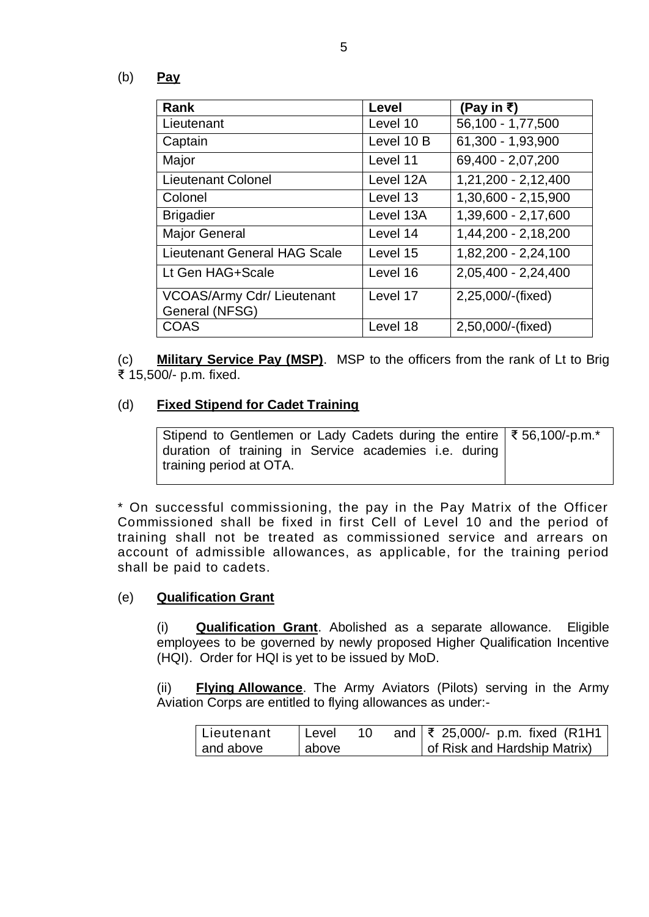(b) **Pay**

| Rank                                                | Level      | (Pay in ₹)          |
|-----------------------------------------------------|------------|---------------------|
| Lieutenant                                          | Level 10   | 56,100 - 1,77,500   |
| Captain                                             | Level 10 B | 61,300 - 1,93,900   |
| Major                                               | Level 11   | 69,400 - 2,07,200   |
| <b>Lieutenant Colonel</b>                           | Level 12A  | 1,21,200 - 2,12,400 |
| Colonel                                             | Level 13   | 1,30,600 - 2,15,900 |
| <b>Brigadier</b>                                    | Level 13A  | 1,39,600 - 2,17,600 |
| <b>Major General</b>                                | Level 14   | 1,44,200 - 2,18,200 |
| <b>Lieutenant General HAG Scale</b>                 | Level 15   | 1,82,200 - 2,24,100 |
| Lt Gen HAG+Scale                                    | Level 16   | 2,05,400 - 2,24,400 |
| <b>VCOAS/Army Cdr/ Lieutenant</b><br>General (NFSG) | Level 17   | 2,25,000/-(fixed)   |
| <b>COAS</b>                                         | Level 18   | 2,50,000/-(fixed)   |

(c) **Military Service Pay (MSP)**. MSP to the officers from the rank of Lt to Brig ₹ 15,500/- p.m. fixed.

#### (d) **Fixed Stipend for Cadet Training**

| Stipend to Gentlemen or Lady Cadets during the entire   ₹56,100/-p.m.* |  |  |  |  |
|------------------------------------------------------------------------|--|--|--|--|
| duration of training in Service academies i.e. during                  |  |  |  |  |
| training period at OTA.                                                |  |  |  |  |

\* On successful commissioning, the pay in the Pay Matrix of the Officer Commissioned shall be fixed in first Cell of Level 10 and the period of training shall not be treated as commissioned service and arrears on account of admissible allowances, as applicable, for the training period shall be paid to cadets.

#### (e) **Qualification Grant**

(i) **Qualification Grant**. Abolished as a separate allowance. Eligible employees to be governed by newly proposed Higher Qualification Incentive (HQI). Order for HQI is yet to be issued by MoD.

(ii) **Flying Allowance**. The Army Aviators (Pilots) serving in the Army Aviation Corps are entitled to flying allowances as under:-

| l Lieutenant | l Level |  | and $\sqrt{\xi}$ 25,000/- p.m. fixed (R1H1 |
|--------------|---------|--|--------------------------------------------|
| and above    | above   |  | of Risk and Hardship Matrix)               |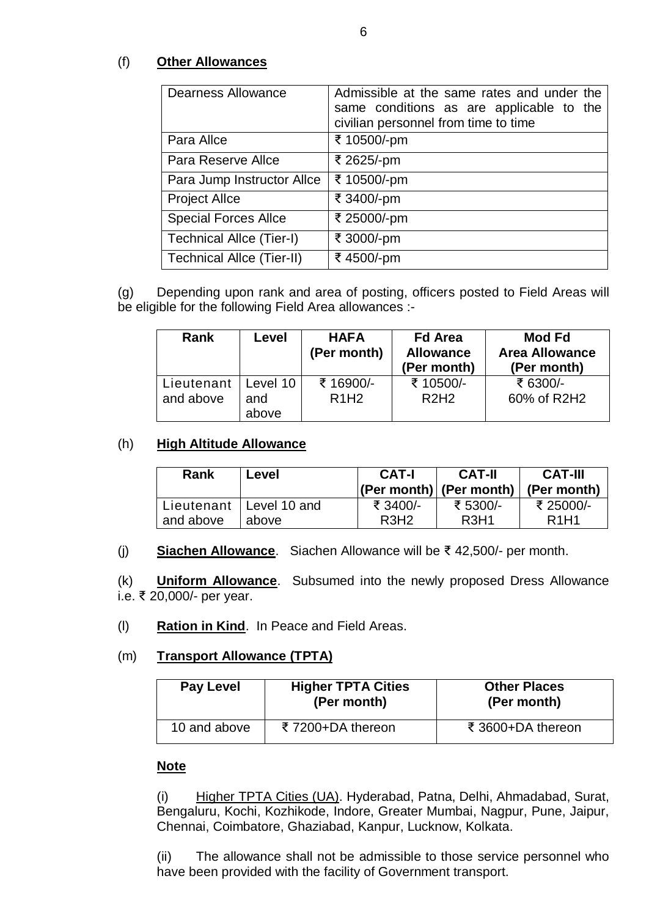### (f) **Other Allowances**

| <b>Dearness Allowance</b>       | Admissible at the same rates and under the<br>same conditions as are applicable to the<br>civilian personnel from time to time |
|---------------------------------|--------------------------------------------------------------------------------------------------------------------------------|
| Para Allce                      | ₹ 10500/-pm                                                                                                                    |
| Para Reserve Allce              | ₹ 2625/-pm                                                                                                                     |
| Para Jump Instructor Allce      | ₹ 10500/-pm                                                                                                                    |
| <b>Project Allce</b>            | ₹ 3400/-pm                                                                                                                     |
| <b>Special Forces Allce</b>     | ₹ 25000/-pm                                                                                                                    |
| <b>Technical Allce (Tier-I)</b> | ₹ 3000/-pm                                                                                                                     |
| Technical Allce (Tier-II)       | ₹4500/-pm                                                                                                                      |

(g) Depending upon rank and area of posting, officers posted to Field Areas will be eligible for the following Field Area allowances :-

| <b>Rank</b>             | Level                    | <b>HAFA</b><br>(Per month) | <b>Fd Area</b><br><b>Allowance</b><br>(Per month) | <b>Mod Fd</b><br><b>Area Allowance</b><br>(Per month) |
|-------------------------|--------------------------|----------------------------|---------------------------------------------------|-------------------------------------------------------|
| Lieutenant<br>and above | Level 10<br>and<br>above | ₹ 16900/-<br><b>R1H2</b>   | ₹ 10500/-<br>R2H2                                 | ₹ 6300/-<br>60% of R2H2                               |

### (h) **High Altitude Allowance**

| Rank      | Level                     | CAT-I            | <b>CAT-II</b><br>$ (Per month) $ (Per month) | <b>CAT-III</b><br>(Per month) |
|-----------|---------------------------|------------------|----------------------------------------------|-------------------------------|
| and above | Lieutenant   Level 10 and | ₹ 3400/-         | ₹ 5300/-                                     | ₹ 25000/-                     |
|           | above                     | R <sub>3H2</sub> | R <sub>3</sub> H <sub>1</sub>                | R <sub>1</sub> H <sub>1</sub> |

(j) **Siachen Allowance**. Siachen Allowance will be ₹ 42,500/- per month.

(k) **Uniform Allowance**. Subsumed into the newly proposed Dress Allowance i.e. ₹ 20,000/- per year.

(l) **Ration in Kind**. In Peace and Field Areas.

### (m) **Transport Allowance (TPTA)**

| <b>Pay Level</b> | <b>Higher TPTA Cities</b><br>(Per month) | <b>Other Places</b><br>(Per month) |
|------------------|------------------------------------------|------------------------------------|
| 10 and above     | ₹7200+DA thereon                         | ₹ 3600+DA thereon                  |

#### **Note**

(i) Higher TPTA Cities (UA). Hyderabad, Patna, Delhi, Ahmadabad, Surat, Bengaluru, Kochi, Kozhikode, Indore, Greater Mumbai, Nagpur, Pune, Jaipur, Chennai, Coimbatore, Ghaziabad, Kanpur, Lucknow, Kolkata.

(ii) The allowance shall not be admissible to those service personnel who have been provided with the facility of Government transport.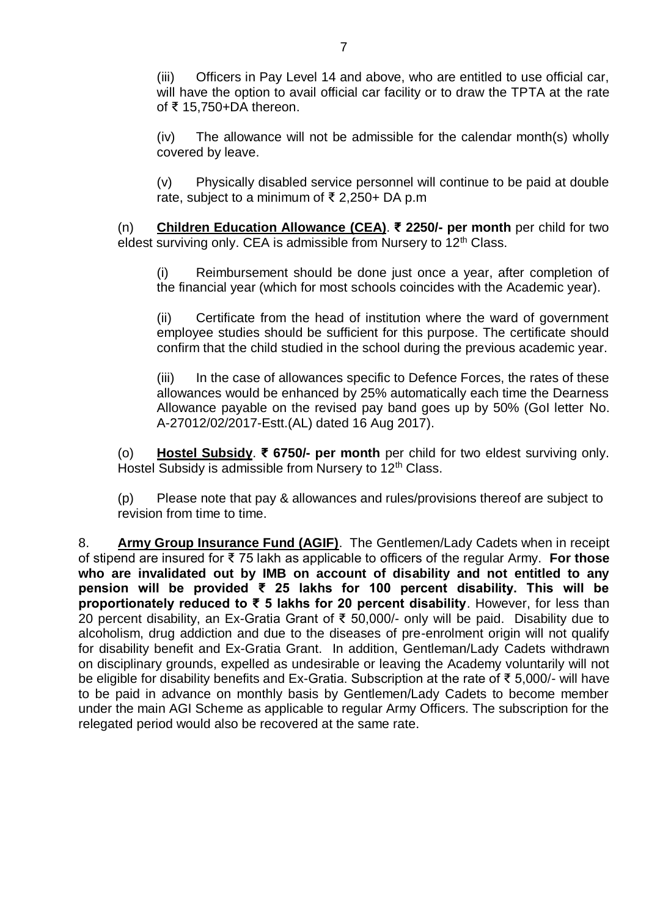(iii) Officers in Pay Level 14 and above, who are entitled to use official car, will have the option to avail official car facility or to draw the TPTA at the rate of ₹ 15,750+DA thereon.

(iv) The allowance will not be admissible for the calendar month(s) wholly covered by leave.

(v) Physically disabled service personnel will continue to be paid at double rate, subject to a minimum of ₹ 2,250+ DA p.m

(n) **Children Education Allowance (CEA)**. **₹ 2250/- per month** per child for two eldest surviving only. CEA is admissible from Nursery to  $12<sup>th</sup>$  Class.

(i) Reimbursement should be done just once a year, after completion of the financial year (which for most schools coincides with the Academic year).

(ii) Certificate from the head of institution where the ward of government employee studies should be sufficient for this purpose. The certificate should confirm that the child studied in the school during the previous academic year.

(iii) In the case of allowances specific to Defence Forces, the rates of these allowances would be enhanced by 25% automatically each time the Dearness Allowance payable on the revised pay band goes up by 50% (GoI letter No. A-27012/02/2017-Estt.(AL) dated 16 Aug 2017).

(o) **Hostel Subsidy**. **₹ 6750/- per month** per child for two eldest surviving only. Hostel Subsidy is admissible from Nursery to 12<sup>th</sup> Class.

(p) Please note that pay & allowances and rules/provisions thereof are subject to revision from time to time.

8. **Army Group Insurance Fund (AGIF)**. The Gentlemen/Lady Cadets when in receipt of stipend are insured for ₹ 75 lakh as applicable to officers of the regular Army. **For those who are invalidated out by IMB on account of disability and not entitled to any pension will be provided ₹ 25 lakhs for 100 percent disability. This will be proportionately reduced to ₹ 5 lakhs for 20 percent disability**. However, for less than 20 percent disability, an Ex-Gratia Grant of ₹ 50,000/- only will be paid. Disability due to alcoholism, drug addiction and due to the diseases of pre-enrolment origin will not qualify for disability benefit and Ex-Gratia Grant. In addition, Gentleman/Lady Cadets withdrawn on disciplinary grounds, expelled as undesirable or leaving the Academy voluntarily will not be eligible for disability benefits and Ex-Gratia. Subscription at the rate of ₹ 5,000/- will have to be paid in advance on monthly basis by Gentlemen/Lady Cadets to become member under the main AGI Scheme as applicable to regular Army Officers. The subscription for the relegated period would also be recovered at the same rate.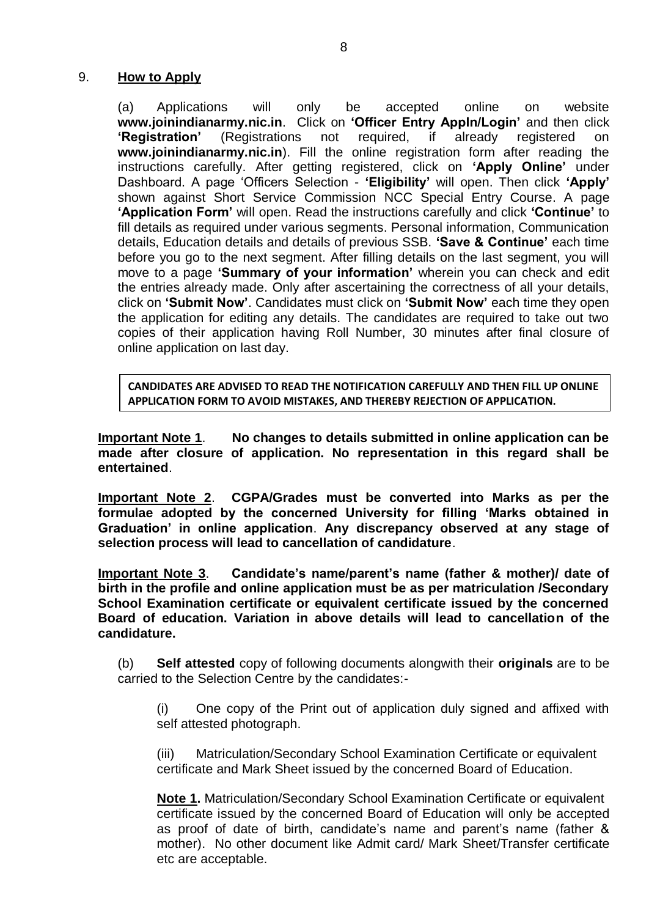#### 9. **How to Apply**

(a) Applications will only be accepted online on website **www.joinindianarmy.nic.in**. Click on **'Officer Entry Appln/Login'** and then click **'Registration'** (Registrations not required, if already registered on **[www.joinindianarmy.nic.in](http://www.joinindianarmy.nic.in/)**). Fill the online registration form after reading the instructions carefully. After getting registered, click on **'Apply Online'** under Dashboard. A page 'Officers Selection - **'Eligibility'** will open. Then click **'Apply'** shown against Short Service Commission NCC Special Entry Course. A page **'Application Form'** will open. Read the instructions carefully and click **'Continue'** to fill details as required under various segments. Personal information, Communication details, Education details and details of previous SSB. **'Save & Continue'** each time before you go to the next segment. After filling details on the last segment, you will move to a page **'Summary of your information'** wherein you can check and edit the entries already made. Only after ascertaining the correctness of all your details, click on **'Submit Now'**. Candidates must click on **'Submit Now'** each time they open the application for editing any details. The candidates are required to take out two copies of their application having Roll Number, 30 minutes after final closure of online application on last day.

**CANDIDATES ARE ADVISED TO READ THE NOTIFICATION CAREFULLY AND THEN FILL UP ONLINE APPLICATION FORM TO AVOID MISTAKES, AND THEREBY REJECTION OF APPLICATION.**

**Important Note 1**. **No changes to details submitted in online application can be made after closure of application. No representation in this regard shall be entertained**.

**Important Note 2**. **CGPA/Grades must be converted into Marks as per the formulae adopted by the concerned University for filling 'Marks obtained in Graduation' in online application**. **Any discrepancy observed at any stage of selection process will lead to cancellation of candidature**.

**Important Note 3**. **Candidate's name/parent's name (father & mother)/ date of birth in the profile and online application must be as per matriculation /Secondary School Examination certificate or equivalent certificate issued by the concerned Board of education. Variation in above details will lead to cancellation of the candidature.**

(b) **Self attested** copy of following documents alongwith their **originals** are to be carried to the Selection Centre by the candidates:-

(i) One copy of the Print out of application duly signed and affixed with self attested photograph.

(iii) Matriculation/Secondary School Examination Certificate or equivalent certificate and Mark Sheet issued by the concerned Board of Education.

**Note 1.** Matriculation/Secondary School Examination Certificate or equivalent certificate issued by the concerned Board of Education will only be accepted as proof of date of birth, candidate's name and parent's name (father & mother). No other document like Admit card/ Mark Sheet/Transfer certificate etc are acceptable.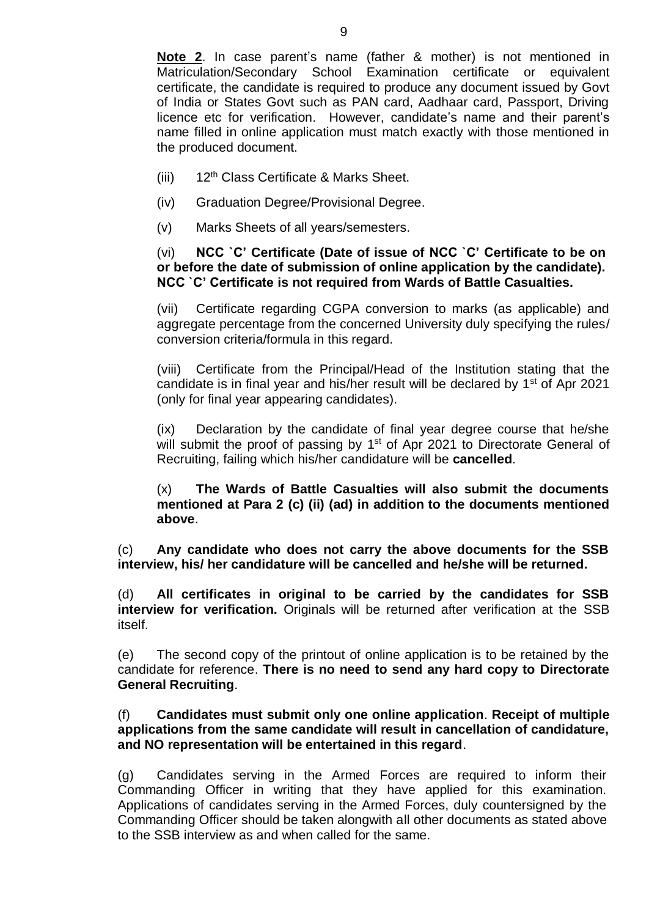**Note 2**. In case parent's name (father & mother) is not mentioned in Matriculation/Secondary School Examination certificate or equivalent certificate, the candidate is required to produce any document issued by Govt of India or States Govt such as PAN card, Aadhaar card, Passport, Driving licence etc for verification. However, candidate's name and their parent's name filled in online application must match exactly with those mentioned in the produced document.

- (iii) 12<sup>th</sup> Class Certificate & Marks Sheet.
- (iv) Graduation Degree/Provisional Degree.
- (v) Marks Sheets of all years/semesters.

#### (vi) **NCC `C' Certificate (Date of issue of NCC `C' Certificate to be on or before the date of submission of online application by the candidate). NCC `C' Certificate is not required from Wards of Battle Casualties.**

(vii) Certificate regarding CGPA conversion to marks (as applicable) and aggregate percentage from the concerned University duly specifying the rules/ conversion criteria/formula in this regard.

(viii) Certificate from the Principal/Head of the Institution stating that the candidate is in final year and his/her result will be declared by  $1<sup>st</sup>$  of Apr 2021 (only for final year appearing candidates).

(ix) Declaration by the candidate of final year degree course that he/she will submit the proof of passing by 1<sup>st</sup> of Apr 2021 to Directorate General of Recruiting, failing which his/her candidature will be **cancelled**.

(x) **The Wards of Battle Casualties will also submit the documents mentioned at Para 2 (c) (ii) (ad) in addition to the documents mentioned above**.

(c) **Any candidate who does not carry the above documents for the SSB interview, his/ her candidature will be cancelled and he/she will be returned.**

(d) **All certificates in original to be carried by the candidates for SSB interview for verification.** Originals will be returned after verification at the SSB itself.

(e) The second copy of the printout of online application is to be retained by the candidate for reference. **There is no need to send any hard copy to Directorate General Recruiting**.

#### (f) **Candidates must submit only one online application**. **Receipt of multiple applications from the same candidate will result in cancellation of candidature, and NO representation will be entertained in this regard**.

(g) Candidates serving in the Armed Forces are required to inform their Commanding Officer in writing that they have applied for this examination. Applications of candidates serving in the Armed Forces, duly countersigned by the Commanding Officer should be taken alongwith all other documents as stated above to the SSB interview as and when called for the same.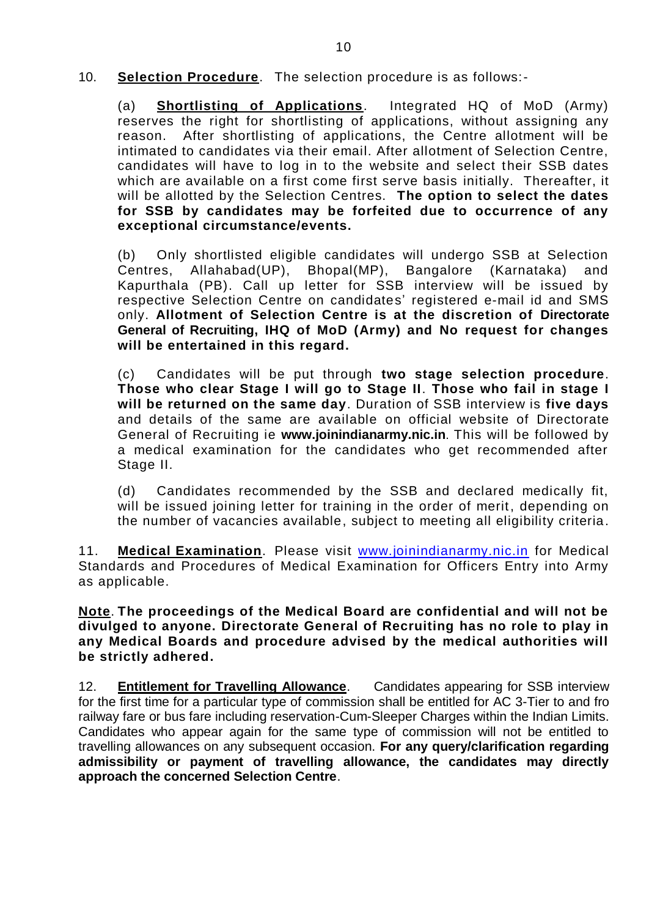10. **Selection Procedure**. The selection procedure is as follows:-

(a) **Shortlisting of Applications**. Integrated HQ of MoD (Army) reserves the right for shortlisting of applications, without assigning any reason. After shortlisting of applications, the Centre allotment will be intimated to candidates via their email. After allotment of Selection Centre, candidates will have to log in to the website and select their SSB dates which are available on a first come first serve basis initially. Thereafter, it will be allotted by the Selection Centres. **The option to select the dates for SSB by candidates may be forfeited due to occurrence of any exceptional circumstance/events.** 

(b) Only shortlisted eligible candidates will undergo SSB at Selection Centres, Allahabad(UP), Bhopal(MP), Bangalore (Karnataka) and Kapurthala (PB). Call up letter for SSB interview will be issued by respective Selection Centre on candidates' registered e-mail id and SMS only. **Allotment of Selection Centre is at the discretion of Directorate General of Recruiting, IHQ of MoD (Army) and No request for changes will be entertained in this regard.** 

(c) Candidates will be put through **two stage selection procedure**. **Those who clear Stage I will go to Stage II**. **Those who fail in stage I will be returned on the same day**. Duration of SSB interview is **five days**  and details of the same are available on official website of Directorate General of Recruiting ie **[www.joinindianarmy.nic.in](http://www.joinindianarmy.nic.in/)**. This will be followed by a medical examination for the candidates who get recommended after Stage II.

(d) Candidates recommended by the SSB and declared medically fit, will be issued joining letter for training in the order of merit, depending on the number of vacancies available, subject to meeting all eligibility criteria.

11. **Medical Examination**. Please visit [www.joinindianarmy.nic.in](http://www.joinindianarmy.nic.in/) for Medical Standards and Procedures of Medical Examination for Officers Entry into Army as applicable.

**Note**. **The proceedings of the Medical Board are confidential and will not be divulged to anyone. Directorate General of Recruiting has no role to play in any Medical Boards and procedure advised by the medical authorities will be strictly adhered.**

12. **Entitlement for Travelling Allowance**. Candidates appearing for SSB interview for the first time for a particular type of commission shall be entitled for AC 3-Tier to and fro railway fare or bus fare including reservation-Cum-Sleeper Charges within the Indian Limits. Candidates who appear again for the same type of commission will not be entitled to travelling allowances on any subsequent occasion. **For any query/clarification regarding admissibility or payment of travelling allowance, the candidates may directly approach the concerned Selection Centre**.